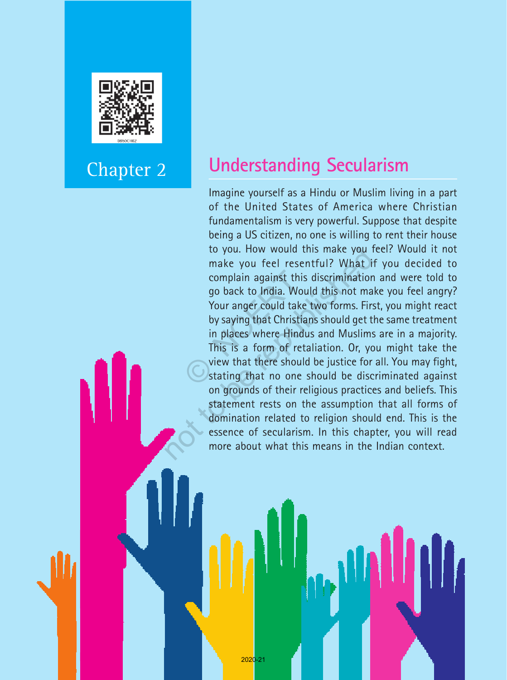

## Chapter 2

## **Understanding Secularism**

Imagine yourself as a Hindu or Muslim living in a part of the United States of America where Christian fundamentalism is very powerful. Suppose that despite being a US citizen, no one is willing to rent their house to you. How would this make you feel? Would it not make you feel resentful? What if you decided to complain against this discrimination and were told to go back to India. Would this not make you feel angry? Your anger could take two forms. First, you might react by saying that Christians should get the same treatment in places where Hindus and Muslims are in a majority. This is a form of retaliation. Or, you might take the view that there should be justice for all. You may fight, stating that no one should be discriminated against on grounds of their religious practices and beliefs. This statement rests on the assumption that all forms of domination related to religion should end. This is the essence of secularism. In this chapter, you will read more about what this means in the Indian context. complain against this<br>go back to India. Wou<br>Your anger could take<br>by saying that Christia<br>in places where Hindu<br>This is a form of reta<br>view that there should<br>stating that no one s to you. How would this make you 1<br>make you feel resentful? What i<br>complain against this discriminatior<br>go back to India. Would this not ma<br>Your anger could take two forms. Fir:<br>by saying that Christians should get t<br>in pla

Social and Political Life 18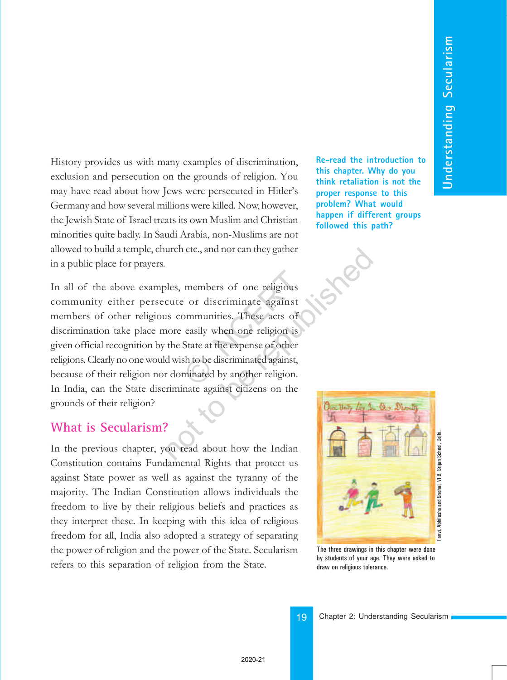History provides us with many examples of discrimination, exclusion and persecution on the grounds of religion. You may have read about how Jews were persecuted in Hitler's Germany and how several millions were killed. Now, however, the Jewish State of Israel treats its own Muslim and Christian minorities quite badly. In Saudi Arabia, non-Muslims are not allowed to build a temple, church etc., and nor can they gather in a public place for prayers.

In all of the above examples, members of one religious community either persecute or discriminate against members of other religious communities. These acts of discrimination take place more easily when one religion is given official recognition by the State at the expense of other religions. Clearly no one would wish to be discriminated against, because of their religion nor dominated by another religion. In India, can the State discriminate against citizens on the grounds of their religion? members of one religious<br>  $\therefore$  or discriminate against<br>
communities. These acts of<br>
easily when one religion is<br>
State at the expense of other<br>
sh to be discriminated against,<br>
minated by another religion. The example of the Indian of the Indian of the Indian of the Indian of the Indian of the Indian of the State at the expense of other<br>that a state at the expense of other<br>d wish to be discriminated against,<br>r dominated by a

#### **What is Secularism?**

In the previous chapter, you read about how the Indian Constitution contains Fundamental Rights that protect us against State power as well as against the tyranny of the majority. The Indian Constitution allows individuals the freedom to live by their religious beliefs and practices as they interpret these. In keeping with this idea of religious freedom for all, India also adopted a strategy of separating the power of religion and the power of the State. Secularism refers to this separation of religion from the State.

**Re-read the introduction to this chapter. Why do you think retaliation is not the proper response to this problem? What would happen if different groups followed this path?**



The three drawings in this chapter were done by students of your age. They were asked to draw on religious tolerance.

19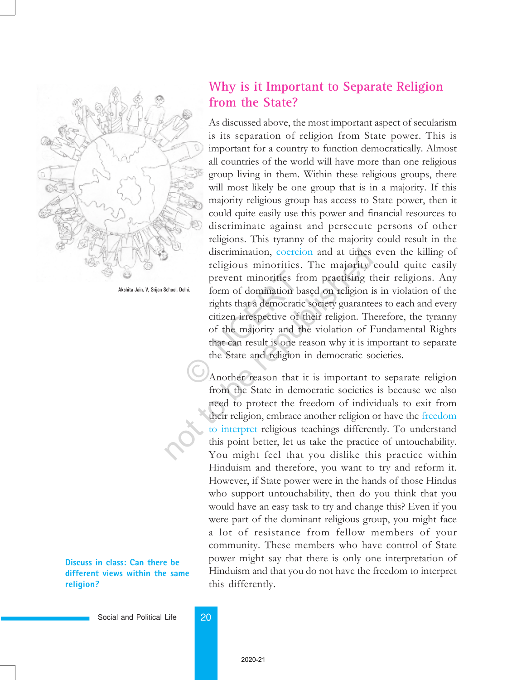

Akshita Jain, V, Srijan School, Delhi.

**Discuss in class: Can there be different views within the same religion?**

### **Why is it Important to Separate Religion from the State?**

As discussed above, the most important aspect of secularism is its separation of religion from State power. This is important for a country to function democratically. Almost all countries of the world will have more than one religious group living in them. Within these religious groups, there will most likely be one group that is in a majority. If this majority religious group has access to State power, then it could quite easily use this power and financial resources to discriminate against and persecute persons of other religions. This tyranny of the majority could result in the discrimination, coercion and at times even the killing of religious minorities. The majority could quite easily prevent minorities from practising their religions. Any form of domination based on religion is in violation of the rights that a democratic society guarantees to each and every citizen irrespective of their religion. Therefore, the tyranny of the majority and the violation of Fundamental Rights that can result is one reason why it is important to separate the State and religion in democratic societies. prevent minorities from of domination bases<br>rights that a democratic<br>citizen irrespective of the<br>of the majority and the<br>that can result is one rea<br>the State and religion in<br>Another reason that it discrimination, coercion and at times<br>religious minorities. The majority<br>prevent minorities from practising the<br>form of domination based on religion i<br>rights that a democratic society guarante<br>citizen irrespective of their

Another reason that it is important to separate religion from the State in democratic societies is because we also need to protect the freedom of individuals to exit from their religion, embrace another religion or have the freedom to interpret religious teachings differently. To understand this point better, let us take the practice of untouchability. You might feel that you dislike this practice within Hinduism and therefore, you want to try and reform it. However, if State power were in the hands of those Hindus who support untouchability, then do you think that you would have an easy task to try and change this? Even if you were part of the dominant religious group, you might face a lot of resistance from fellow members of your community. These members who have control of State power might say that there is only one interpretation of Hinduism and that you do not have the freedom to interpret this differently.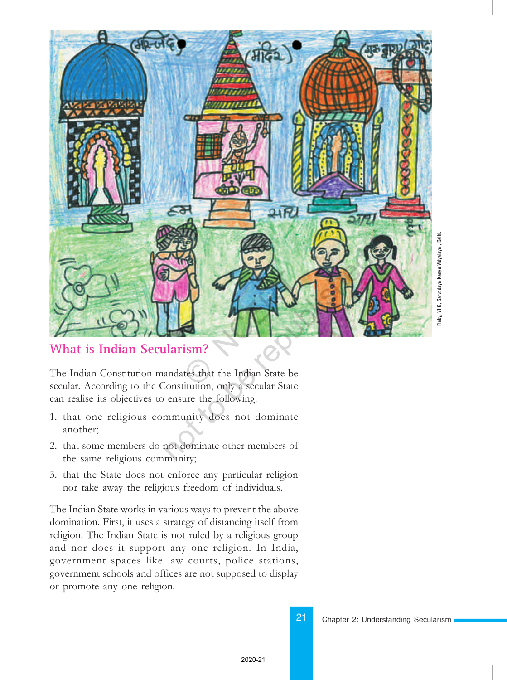

#### **What is Indian Secularism?**

The Indian Constitution mandates that the Indian State be secular. According to the Constitution, only a secular State can realise its objectives to ensure the following:

- 1. that one religious community does not dominate another;
- 2. that some members do not dominate other members of the same religious community;
- 3. that the State does not enforce any particular religion nor take away the religious freedom of individuals.

The Indian State works in various ways to prevent the above domination. First, it uses a strategy of distancing itself from religion. The Indian State is not ruled by a religious group and nor does it support any one religion. In India, government spaces like law courts, police stations, government schools and offices are not supposed to display or promote any one religion.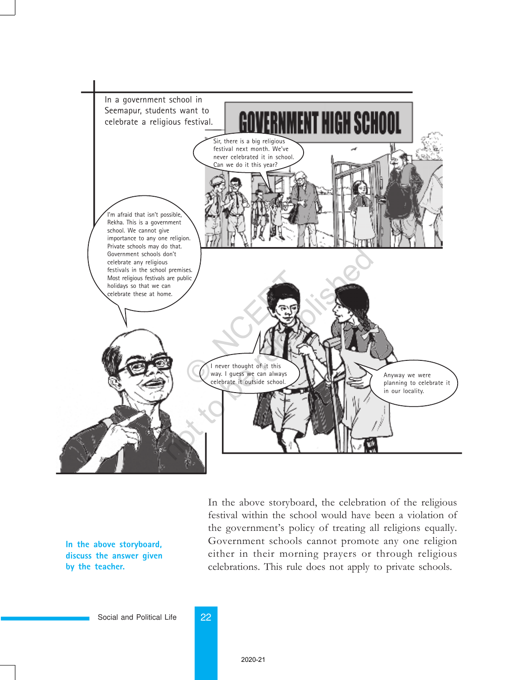

**In the above storyboard, discuss the answer given by the teacher.**

In the above storyboard, the celebration of the religious festival within the school would have been a violation of the government's policy of treating all religions equally. Government schools cannot promote any one religion either in their morning prayers or through religious celebrations. This rule does not apply to private schools.

Social and Political Life 22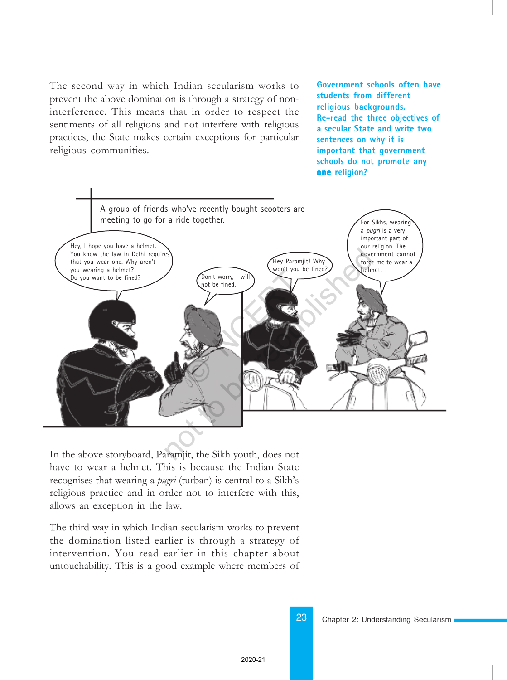The second way in which Indian secularism works to prevent the above domination is through a strategy of noninterference. This means that in order to respect the sentiments of all religions and not interfere with religious practices, the State makes certain exceptions for particular religious communities.

**Government schools often have students from different religious backgrounds. Re-read the three objectives of a secular State and write two sentences on why it is important that government schools do not promote any one religion?**



In the above storyboard, Paramjit, the Sikh youth, does not have to wear a helmet. This is because the Indian State recognises that wearing a *pugri* (turban) is central to a Sikh's religious practice and in order not to interfere with this, allows an exception in the law.

The third way in which Indian secularism works to prevent the domination listed earlier is through a strategy of intervention. You read earlier in this chapter about untouchability. This is a good example where members of

Chapter 2: Understanding Secularism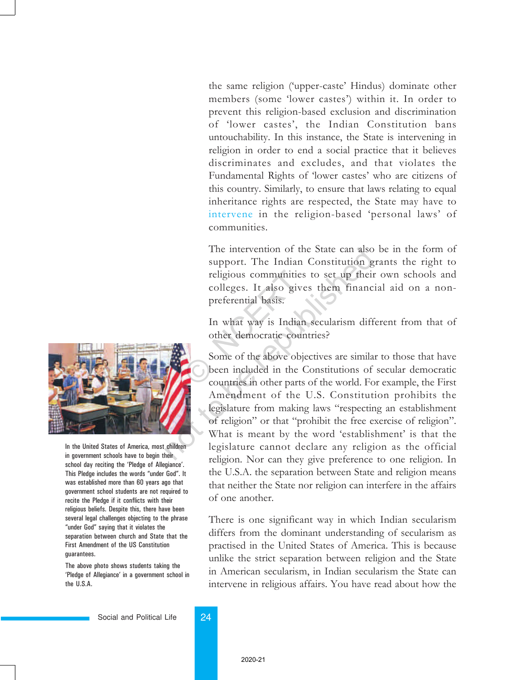the same religion ('upper-caste' Hindus) dominate other members (some 'lower castes') within it. In order to prevent this religion-based exclusion and discrimination of 'lower castes', the Indian Constitution bans untouchability. In this instance, the State is intervening in religion in order to end a social practice that it believes discriminates and excludes, and that violates the Fundamental Rights of 'lower castes' who are citizens of this country. Similarly, to ensure that laws relating to equal inheritance rights are respected, the State may have to intervene in the religion-based 'personal laws' of communities.

The intervention of the State can also be in the form of support. The Indian Constitution grants the right to religious communities to set up their own schools and colleges. It also gives them financial aid on a nonpreferential basis. religious communities<br>
colleges. It also give<br>
preferential basis.<br>
In what way is Indian<br>
other democratic coun<br>
Some of the above obje<br>
been included in the C<br>
countries in other parts

In what way is Indian secularism different from that of other democratic countries?

Some of the above objectives are similar to those that have been included in the Constitutions of secular democratic countries in other parts of the world. For example, the First Amendment of the U.S. Constitution prohibits the legislature from making laws "respecting an establishment of religion" or that "prohibit the free exercise of religion". What is meant by the word 'establishment' is that the legislature cannot declare any religion as the official religion. Nor can they give preference to one religion. In the U.S.A. the separation between State and religion means that neither the State nor religion can interfere in the affairs of one another. The intervention of the State can also<br>support. The Indian Constitution g<br>religious communities to set up their<br>colleges. It also gives them finance<br>preferential basis.<br>In what way is Indian secularism diff<br>other democrati

> There is one significant way in which Indian secularism differs from the dominant understanding of secularism as practised in the United States of America. This is because unlike the strict separation between religion and the State in American secularism, in Indian secularism the State can intervene in religious affairs. You have read about how the



In the United States of America, most children in government schools have to begin their school day reciting the 'Pledge of Allegiance'. This Pledge includes the words "under God". It was established more than 60 years ago that government school students are not required to recite the Pledge if it conflicts with their religious beliefs. Despite this, there have been several legal challenges objecting to the phrase "under God" saying that it violates the separation between church and State that the First Amendment of the US Constitution guarantees.

The above photo shows students taking the 'Pledge of Allegiance' in a government school in the U.S.A.

Social and Political Life 24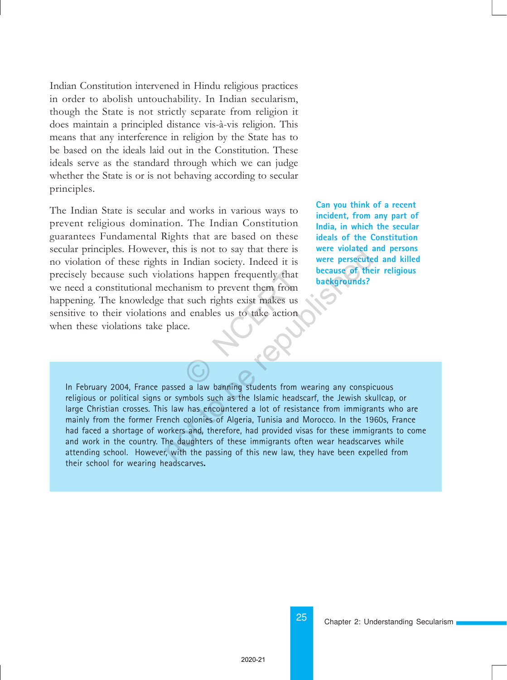Indian Constitution intervened in Hindu religious practices in order to abolish untouchability. In Indian secularism, though the State is not strictly separate from religion it does maintain a principled distance vis-à-vis religion. This means that any interference in religion by the State has to be based on the ideals laid out in the Constitution. These ideals serve as the standard through which we can judge whether the State is or is not behaving according to secular principles.

The Indian State is secular and works in various ways to prevent religious domination. The Indian Constitution guarantees Fundamental Rights that are based on these secular principles. However, this is not to say that there is no violation of these rights in Indian society. Indeed it is precisely because such violations happen frequently that we need a constitutional mechanism to prevent them from happening. The knowledge that such rights exist makes us sensitive to their violations and enables us to take action when these violations take place. ons happen frequently that<br>mism to prevent them from<br>tisuch rights exist makes us<br>d enables us to take action<br>e. **Can you think of a recent incident, from any part of India, in which the secular ideals of the Constitution were violated and persons were persecuted and killed because of their religious backgrounds?**

In February 2004, France passed a law banning students from wearing any conspicuous religious or political signs or symbols such as the Islamic headscarf, the Jewish skullcap, or large Christian crosses. This law has encountered a lot of resistance from immigrants who are mainly from the former French colonies of Algeria, Tunisia and Morocco. In the 1960s, France had faced a shortage of workers and, therefore, had provided visas for these immigrants to come and work in the country. The daughters of these immigrants often wear headscarves while attending school. However, with the passing of this new law, they have been expelled from their school for wearing headscarves**.** representations in Indian society. Indeed it is<br>
were violated it is<br>
in Indian society. Indeed it is<br>
were persecute<br>
lations happen frequently that<br>
echanism to prevent them from<br>
that such rights exist makes us<br>
s and e

25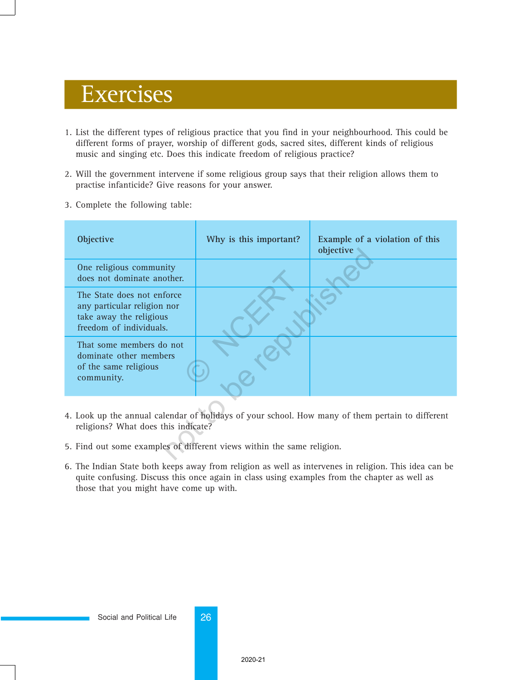# Exercises

- 1. List the different types of religious practice that you find in your neighbourhood. This could be different forms of prayer, worship of different gods, sacred sites, different kinds of religious music and singing etc. Does this indicate freedom of religious practice?
- 2. Will the government intervene if some religious group says that their religion allows them to practise infanticide? Give reasons for your answer.
- 3. Complete the following table:

| <b>Objective</b>                                                                                                                        | Why is this important? | Example of a violation of this<br>objective |
|-----------------------------------------------------------------------------------------------------------------------------------------|------------------------|---------------------------------------------|
| One religious community<br>does not dominate another.                                                                                   |                        |                                             |
| The State does not enforce<br>any particular religion nor<br>take away the religious<br>freedom of individuals.                         |                        |                                             |
| That some members do not<br>dominate other members<br>of the same religious<br>community.                                               |                        |                                             |
| 4. Look up the annual calendar of holidays of your school. How many of them pertain to different<br>religions? What does this indicate? |                        |                                             |
| 5. Find out some examples of different views within the same religion.                                                                  |                        |                                             |

- 4. Look up the annual calendar of holidays of your school. How many of them pertain to different religions? What does this indicate?
- 5. Find out some examples of different views within the same religion.
- 6. The Indian State both keeps away from religion as well as intervenes in religion. This idea can be quite confusing. Discuss this once again in class using examples from the chapter as well as those that you might have come up with.